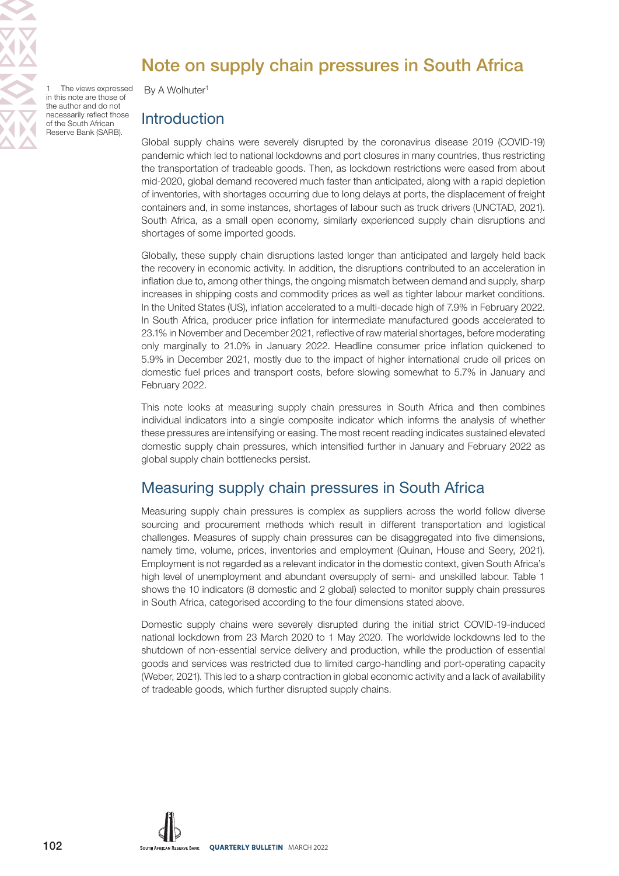

# Note on supply chain pressures in South Africa

The views expressed in this note are those of the author and do not necessarily reflect those of the South African Reserve Bank (SARB).

By A Wolhuter<sup>1</sup>

### **Introduction**

Global supply chains were severely disrupted by the coronavirus disease 2019 (COVID-19) pandemic which led to national lockdowns and port closures in many countries, thus restricting the transportation of tradeable goods. Then, as lockdown restrictions were eased from about mid-2020, global demand recovered much faster than anticipated, along with a rapid depletion of inventories, with shortages occurring due to long delays at ports, the displacement of freight containers and, in some instances, shortages of labour such as truck drivers (UNCTAD, 2021). South Africa, as a small open economy, similarly experienced supply chain disruptions and shortages of some imported goods.

Globally, these supply chain disruptions lasted longer than anticipated and largely held back the recovery in economic activity. In addition, the disruptions contributed to an acceleration in inflation due to, among other things, the ongoing mismatch between demand and supply, sharp increases in shipping costs and commodity prices as well as tighter labour market conditions. In the United States (US), inflation accelerated to a multi-decade high of 7.9% in February 2022. In South Africa, producer price inflation for intermediate manufactured goods accelerated to 23.1% in November and December 2021, reflective of raw material shortages, before moderating only marginally to 21.0% in January 2022. Headline consumer price inflation quickened to 5.9% in December 2021, mostly due to the impact of higher international crude oil prices on domestic fuel prices and transport costs, before slowing somewhat to 5.7% in January and February 2022.

This note looks at measuring supply chain pressures in South Africa and then combines individual indicators into a single composite indicator which informs the analysis of whether these pressures are intensifying or easing. The most recent reading indicates sustained elevated domestic supply chain pressures, which intensified further in January and February 2022 as global supply chain bottlenecks persist.

# Measuring supply chain pressures in South Africa

Measuring supply chain pressures is complex as suppliers across the world follow diverse sourcing and procurement methods which result in different transportation and logistical challenges. Measures of supply chain pressures can be disaggregated into five dimensions, namely time, volume, prices, inventories and employment (Quinan, House and Seery, 2021). Employment is not regarded as a relevant indicator in the domestic context, given South Africa's high level of unemployment and abundant oversupply of semi- and unskilled labour. Table 1 shows the 10 indicators (8 domestic and 2 global) selected to monitor supply chain pressures in South Africa, categorised according to the four dimensions stated above.

Domestic supply chains were severely disrupted during the initial strict COVID-19-induced national lockdown from 23 March 2020 to 1 May 2020. The worldwide lockdowns led to the shutdown of non-essential service delivery and production, while the production of essential goods and services was restricted due to limited cargo-handling and port-operating capacity (Weber, 2021). This led to a sharp contraction in global economic activity and a lack of availability of tradeable goods, which further disrupted supply chains.

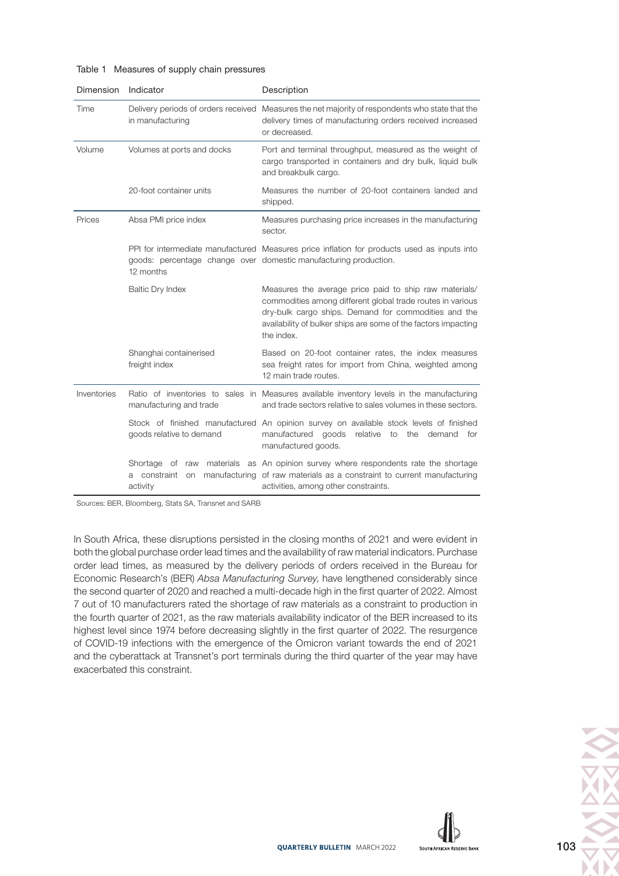| Dimension   | Indicator                                                            | Description                                                                                                                                                                                                                                                  |
|-------------|----------------------------------------------------------------------|--------------------------------------------------------------------------------------------------------------------------------------------------------------------------------------------------------------------------------------------------------------|
| Time        | in manufacturing                                                     | Delivery periods of orders received Measures the net majority of respondents who state that the<br>delivery times of manufacturing orders received increased<br>or decreased.                                                                                |
| Volume      | Volumes at ports and docks                                           | Port and terminal throughput, measured as the weight of<br>cargo transported in containers and dry bulk, liquid bulk<br>and breakbulk cargo.                                                                                                                 |
|             | 20-foot container units                                              | Measures the number of 20-foot containers landed and<br>shipped.                                                                                                                                                                                             |
| Prices      | Absa PMI price index                                                 | Measures purchasing price increases in the manufacturing<br>sector.                                                                                                                                                                                          |
|             | 12 months                                                            | PPI for intermediate manufactured Measures price inflation for products used as inputs into<br>goods: percentage change over domestic manufacturing production.                                                                                              |
|             | <b>Baltic Dry Index</b>                                              | Measures the average price paid to ship raw materials/<br>commodities among different global trade routes in various<br>dry-bulk cargo ships. Demand for commodities and the<br>availability of bulker ships are some of the factors impacting<br>the index. |
|             | Shanghai containerised<br>freight index                              | Based on 20-foot container rates, the index measures<br>sea freight rates for import from China, weighted among<br>12 main trade routes.                                                                                                                     |
| Inventories | manufacturing and trade                                              | Ratio of inventories to sales in Measures available inventory levels in the manufacturing<br>and trade sectors relative to sales volumes in these sectors.                                                                                                   |
|             | goods relative to demand                                             | Stock of finished manufactured An opinion survey on available stock levels of finished<br>manufactured<br>goods<br>relative<br>demand<br>to<br>the<br>for<br>manufactured goods.                                                                             |
|             | Shortage of<br>materials<br>raw<br>constraint<br>a<br>on<br>activity | as An opinion survey where respondents rate the shortage<br>manufacturing of raw materials as a constraint to current manufacturing<br>activities, among other constraints.                                                                                  |

#### Table 1 Measures of supply chain pressures

Sources: BER, Bloomberg, Stats SA, Transnet and SARB

In South Africa, these disruptions persisted in the closing months of 2021 and were evident in both the global purchase order lead times and the availability of raw material indicators. Purchase order lead times, as measured by the delivery periods of orders received in the Bureau for Economic Research's (BER) Absa Manufacturing Survey, have lengthened considerably since the second quarter of 2020 and reached a multi-decade high in the first quarter of 2022. Almost 7 out of 10 manufacturers rated the shortage of raw materials as a constraint to production in the fourth quarter of 2021, as the raw materials availability indicator of the BER increased to its highest level since 1974 before decreasing slightly in the first quarter of 2022. The resurgence of COVID-19 infections with the emergence of the Omicron variant towards the end of 2021 and the cyberattack at Transnet's port terminals during the third quarter of the year may have exacerbated this constraint.

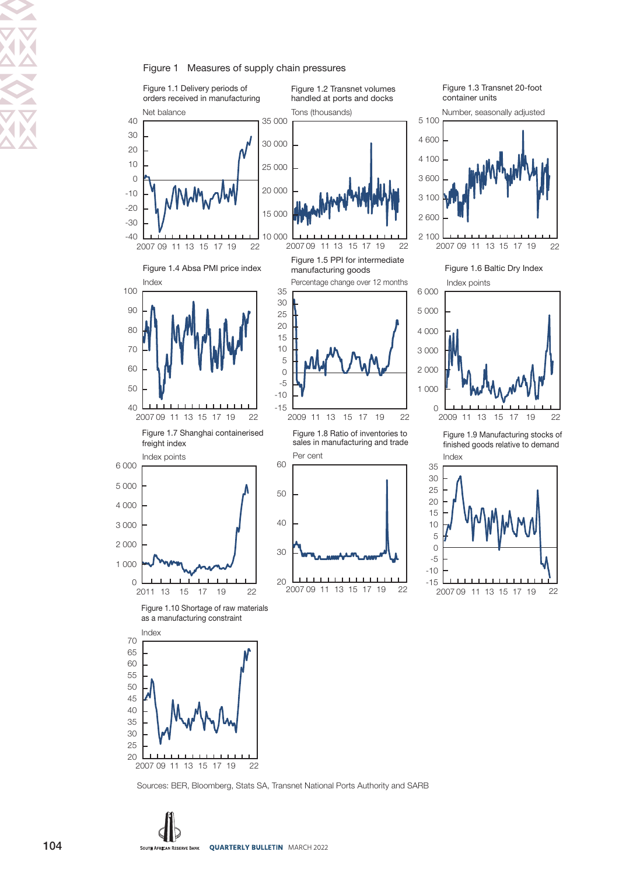#### Figure 1 Measures of supply chain pressures



22

Sources: BER, Bloomberg, Stats SA, Transnet National Ports Authority and SARB

104 SOUTH AFRICAN RESERVE BANK QUARTERLY BULLETIN MARCH 2022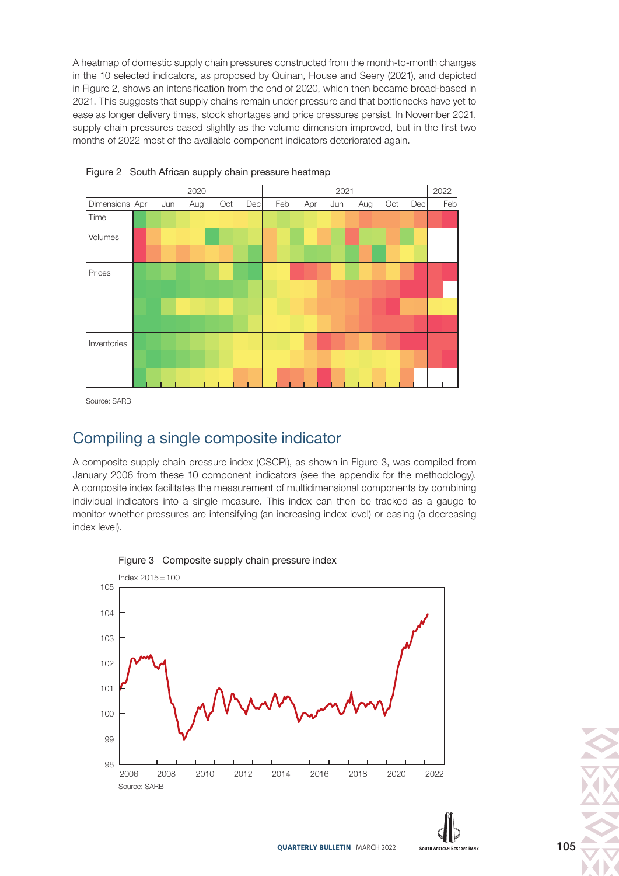A heatmap of domestic supply chain pressures constructed from the month-to-month changes in the 10 selected indicators, as proposed by Quinan, House and Seery (2021), and depicted in Figure 2, shows an intensification from the end of 2020, which then became broad-based in 2021. This suggests that supply chains remain under pressure and that bottlenecks have yet to ease as longer delivery times, stock shortages and price pressures persist. In November 2021, supply chain pressures eased slightly as the volume dimension improved, but in the first two months of 2022 most of the available component indicators deteriorated again.



Figure 2 South African supply chain pressure heatmap

#### Compiling a single composite indicator

A composite supply chain pressure index (CSCPI), as shown in Figure 3, was compiled from January 2006 from these 10 component indicators (see the appendix for the methodology). A composite index facilitates the measurement of multidimensional components by combining individual indicators into a single measure. This index can then be tracked as a gauge to monitor whether pressures are intensifying (an increasing index level) or easing (a decreasing index level).



Figure 3 Composite supply chain pressure index



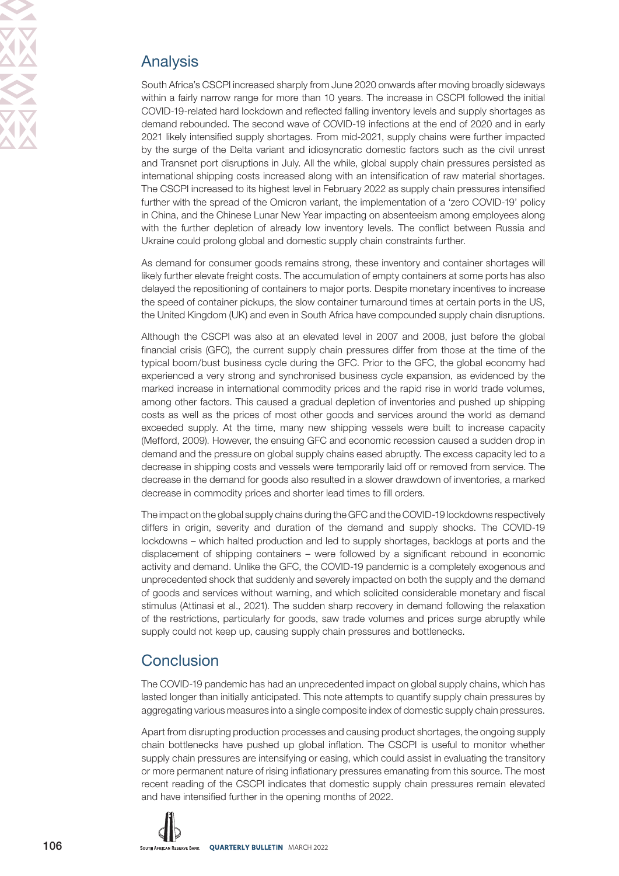# Analysis

South Africa's CSCPI increased sharply from June 2020 onwards after moving broadly sideways within a fairly narrow range for more than 10 years. The increase in CSCPI followed the initial COVID-19-related hard lockdown and reflected falling inventory levels and supply shortages as demand rebounded. The second wave of COVID-19 infections at the end of 2020 and in early 2021 likely intensified supply shortages. From mid-2021, supply chains were further impacted by the surge of the Delta variant and idiosyncratic domestic factors such as the civil unrest and Transnet port disruptions in July. All the while, global supply chain pressures persisted as international shipping costs increased along with an intensification of raw material shortages. The CSCPI increased to its highest level in February 2022 as supply chain pressures intensified further with the spread of the Omicron variant, the implementation of a 'zero COVID-19' policy in China, and the Chinese Lunar New Year impacting on absenteeism among employees along with the further depletion of already low inventory levels. The conflict between Russia and Ukraine could prolong global and domestic supply chain constraints further.

As demand for consumer goods remains strong, these inventory and container shortages will likely further elevate freight costs. The accumulation of empty containers at some ports has also delayed the repositioning of containers to major ports. Despite monetary incentives to increase the speed of container pickups, the slow container turnaround times at certain ports in the US, the United Kingdom (UK) and even in South Africa have compounded supply chain disruptions.

Although the CSCPI was also at an elevated level in 2007 and 2008, just before the global financial crisis (GFC), the current supply chain pressures differ from those at the time of the typical boom/bust business cycle during the GFC. Prior to the GFC, the global economy had experienced a very strong and synchronised business cycle expansion, as evidenced by the marked increase in international commodity prices and the rapid rise in world trade volumes, among other factors. This caused a gradual depletion of inventories and pushed up shipping costs as well as the prices of most other goods and services around the world as demand exceeded supply. At the time, many new shipping vessels were built to increase capacity (Mefford, 2009). However, the ensuing GFC and economic recession caused a sudden drop in demand and the pressure on global supply chains eased abruptly. The excess capacity led to a decrease in shipping costs and vessels were temporarily laid off or removed from service. The decrease in the demand for goods also resulted in a slower drawdown of inventories, a marked decrease in commodity prices and shorter lead times to fill orders.

The impact on the global supply chains during the GFC and the COVID-19 lockdowns respectively differs in origin, severity and duration of the demand and supply shocks. The COVID-19 lockdowns – which halted production and led to supply shortages, backlogs at ports and the displacement of shipping containers – were followed by a significant rebound in economic activity and demand. Unlike the GFC, the COVID-19 pandemic is a completely exogenous and unprecedented shock that suddenly and severely impacted on both the supply and the demand of goods and services without warning, and which solicited considerable monetary and fiscal stimulus (Attinasi et al., 2021). The sudden sharp recovery in demand following the relaxation of the restrictions, particularly for goods, saw trade volumes and prices surge abruptly while supply could not keep up, causing supply chain pressures and bottlenecks.

# **Conclusion**

The COVID-19 pandemic has had an unprecedented impact on global supply chains, which has lasted longer than initially anticipated. This note attempts to quantify supply chain pressures by aggregating various measures into a single composite index of domestic supply chain pressures.

Apart from disrupting production processes and causing product shortages, the ongoing supply chain bottlenecks have pushed up global inflation. The CSCPI is useful to monitor whether supply chain pressures are intensifying or easing, which could assist in evaluating the transitory or more permanent nature of rising inflationary pressures emanating from this source. The most recent reading of the CSCPI indicates that domestic supply chain pressures remain elevated and have intensified further in the opening months of 2022.

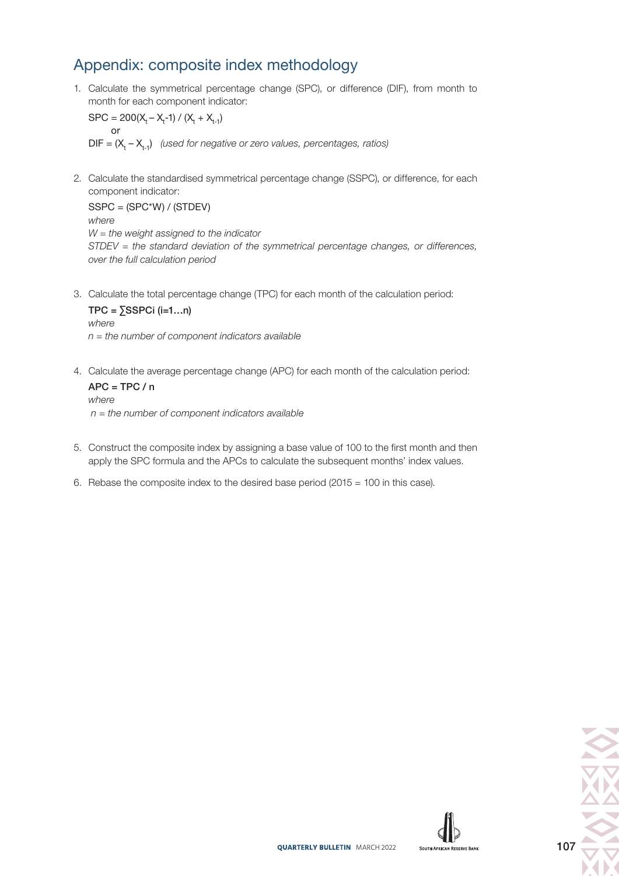# Appendix: composite index methodology

1. Calculate the symmetrical percentage change (SPC), or difference (DIF), from month to month for each component indicator:

 $SPC = 200(X_t - X_t - 1) / (X_t + X_{t-1})$  or  $DIF = (X_t - X_{t-1})$  (used for negative or zero values, percentages, ratios)

2. Calculate the standardised symmetrical percentage change (SSPC), or difference, for each component indicator:

SSPC = (SPC\*W) / (STDEV) where  $W =$  the weight assigned to the indicator STDEV = the standard deviation of the symmetrical percentage changes, or differences, over the full calculation period

3. Calculate the total percentage change (TPC) for each month of the calculation period:

 $TPC = \sum$ SSPCi (i=1...n) where  $n =$  the number of component indicators available

4. Calculate the average percentage change (APC) for each month of the calculation period:

 $APC = TPC / n$ where  $n =$  the number of component indicators available

- 5. Construct the composite index by assigning a base value of 100 to the first month and then apply the SPC formula and the APCs to calculate the subsequent months' index values.
- 6. Rebase the composite index to the desired base period (2015 = 100 in this case).